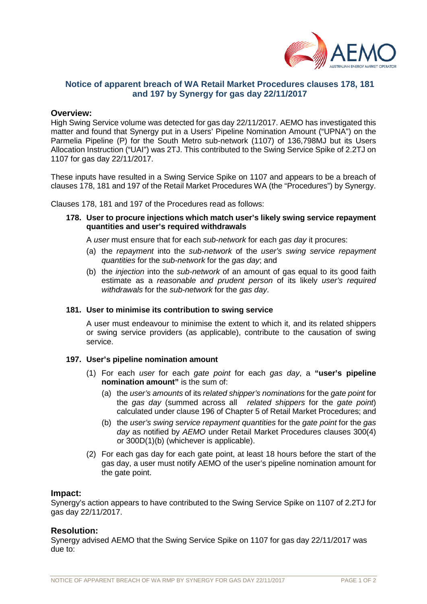

# **Notice of apparent breach of WA Retail Market Procedures clauses 178, 181 and 197 by Synergy for gas day 22/11/2017**

# **Overview:**

High Swing Service volume was detected for gas day 22/11/2017. AEMO has investigated this matter and found that Synergy put in a Users' Pipeline Nomination Amount ("UPNA") on the Parmelia Pipeline (P) for the South Metro sub-network (1107) of 136,798MJ but its Users Allocation Instruction ("UAI") was 2TJ. This contributed to the Swing Service Spike of 2.2TJ on 1107 for gas day 22/11/2017.

These inputs have resulted in a Swing Service Spike on 1107 and appears to be a breach of clauses 178, 181 and 197 of the Retail Market Procedures WA (the "Procedures") by Synergy.

Clauses 178, 181 and 197 of the Procedures read as follows:

**178. User to procure injections which match user's likely swing service repayment quantities and user's required withdrawals**

A *user* must ensure that for each *sub-network* for each *gas day* it procures:

- (a) the *repayment* into the *sub-network* of the *user's swing service repayment quantities* for the *sub-network* for the *gas day*; and
- (b) the *injection* into the *sub-network* of an amount of gas equal to its good faith estimate as a *reasonable and prudent person* of its likely *user's required withdrawals* for the *sub-network* for the *gas day*.

#### **181. User to minimise its contribution to swing service**

A user must endeavour to minimise the extent to which it, and its related shippers or swing service providers (as applicable), contribute to the causation of swing service.

### **197. User's pipeline nomination amount**

- (1) For each *user* for each *gate point* for each *gas day*, a **"user's pipeline nomination amount"** is the sum of:
	- (a) the *user's amounts* of its *related shipper's nominations* for the *gate point* for the *gas day* (summed across all *related shippers* for the *gate point*) calculated under clause 196 of Chapter 5 of Retail Market Procedures; and
	- (b) the *user's swing service repayment quantities* for the *gate point* for the *gas day* as notified by *AEMO* under Retail Market Procedures clauses 300(4) or 300D(1)(b) (whichever is applicable).
- (2) For each gas day for each gate point, at least 18 hours before the start of the gas day, a user must notify AEMO of the user's pipeline nomination amount for the gate point.

#### **Impact:**

Synergy's action appears to have contributed to the Swing Service Spike on 1107 of 2.2TJ for gas day 22/11/2017.

#### **Resolution:**

Synergy advised AEMO that the Swing Service Spike on 1107 for gas day 22/11/2017 was due to: